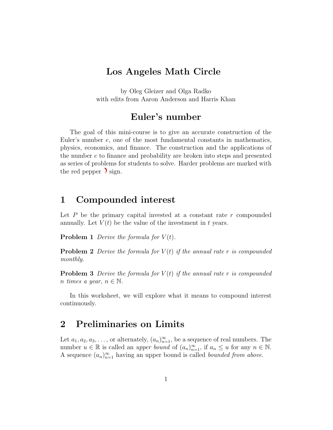# Los Angeles Math Circle

by Oleg Gleizer and Olga Radko with edits from Aaron Anderson and Harris Khan

## Euler's number

The goal of this mini-course is to give an accurate construction of the Euler's number e, one of the most fundamental constants in mathematics, physics, economics, and finance. The construction and the applications of the number e to finance and probability are broken into steps and presented as series of problems for students to solve. Harder problems are marked with the red pepper  $\sum$  sign.

#### 1 Compounded interest

Let  $P$  be the primary capital invested at a constant rate  $r$  compounded annually. Let  $V(t)$  be the value of the investment in t years.

<span id="page-0-0"></span>**Problem 1** Derive the formula for  $V(t)$ .

<span id="page-0-1"></span>**Problem 2** Derive the formula for  $V(t)$  if the annual rate r is compounded monthly.

**Problem 3** Derive the formula for  $V(t)$  if the annual rate r is compounded n times a year,  $n \in \mathbb{N}$ .

In this worksheet, we will explore what it means to compound interest continuously.

## 2 Preliminaries on Limits

Let  $a_1, a_2, a_3, \ldots$ , or alternately,  $(a_n)_{n=1}^{\infty}$ , be a sequence of real numbers. The number  $u \in \mathbb{R}$  is called an *upper bound* of  $(a_n)_{n=1}^{\infty}$ , if  $a_n \leq u$  for any  $n \in \mathbb{N}$ . A sequence  $(a_n)_{n=1}^{\infty}$  having an upper bound is called *bounded from above*.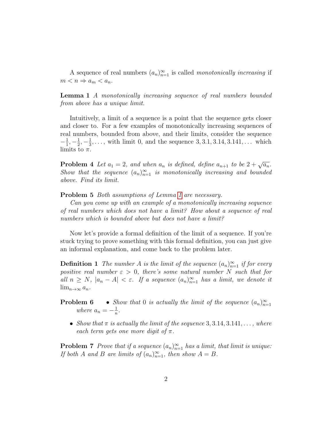A sequence of real numbers  $(a_n)_{n=1}^{\infty}$  is called monotonically increasing if  $m < n \Rightarrow a_m < a_n$ .

<span id="page-1-0"></span>**Lemma 1** A monotonically increasing sequence of real numbers bounded from above has a unique limit.

Intuitively, a limit of a sequence is a point that the sequence gets closer and closer to. For a few examples of monotonically increasing sequences of real numbers, bounded from above, and their limits, consider the sequence  $-\frac{1}{1}$  $\frac{1}{1}, -\frac{1}{2}$  $\frac{1}{2}, -\frac{1}{3}$  $\frac{1}{3}, \ldots$ , with limit 0, and the sequence 3, 3.1, 3.14, 3.141, ... which limits to  $\pi$ .

**Problem 4** Let  $a_1 = 2$ , and when  $a_n$  is defined, define  $a_{n+1}$  to be  $2 + \sqrt{a_n}$ . Show that the sequence  $(a_n)_{n=1}^{\infty}$  is monotonically increasing and bounded above. Find its limit.

Problem 5 Both assumptions of Lemma [1](#page-1-0) are necessary.

Can you come up with an example of a monotonically increasing sequence of real numbers which does not have a limit? How about a sequence of real numbers which is bounded above but does not have a limit?

Now let's provide a formal definition of the limit of a sequence. If you're stuck trying to prove something with this formal definition, you can just give an informal explanation, and come back to the problem later.

**Definition 1** The number A is the limit of the sequence  $(a_n)_{n=1}^{\infty}$  if for every positive real number  $\varepsilon > 0$ , there's some natural number N such that for all  $n \geq N$ ,  $|a_n - A| < \varepsilon$ . If a sequence  $(a_n)_{n=1}^{\infty}$  has a limit, we denote it  $\lim_{n\to\infty} a_n$ .

**Problem 6** • Show that 0 is actually the limit of the sequence  $(a_n)_{n=1}^{\infty}$ where  $a_n = -\frac{1}{n}$  $\frac{1}{n}$  .

• Show that  $\pi$  is actually the limit of the sequence 3, 3.14, 3.141, ..., where each term gets one more digit of  $\pi$ .

**Problem 7** Prove that if a sequence  $(a_n)_{n=1}^{\infty}$  has a limit, that limit is unique: If both A and B are limits of  $(a_n)_{n=1}^{\infty}$ , then show  $A = B$ .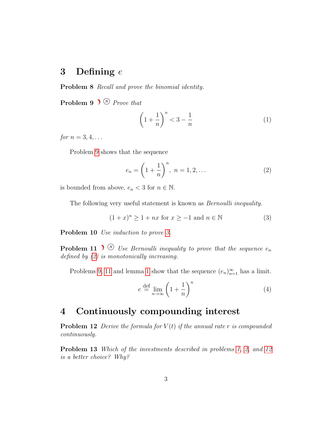## 3 Defining e

Problem 8 Recall and prove the binomial identity.

<span id="page-2-0"></span>**Problem 9**  $\blacktriangleright$   $\blacktriangleright$   $\varnothing$  *Prove that* 

$$
\left(1+\frac{1}{n}\right)^n < 3-\frac{1}{n} \tag{1}
$$

for  $n = 3, 4, \ldots$ 

Problem [9](#page-2-0) shows that the sequence

<span id="page-2-2"></span><span id="page-2-1"></span>
$$
e_n = \left(1 + \frac{1}{n}\right)^n, \ n = 1, 2, \dots \tag{2}
$$

is bounded from above,  $e_n < 3$  for  $n \in \mathbb{N}$ .

The following very useful statement is known as *Bernoulli inequality*.

$$
(1+x)^n \ge 1 + nx \text{ for } x \ge -1 \text{ and } n \in \mathbb{N}
$$
 (3)

Problem 10 *Use induction to prove [3.](#page-2-1)* 

<span id="page-2-3"></span>**Problem 11**  $\bullet$  Use Bernoulli inequality to prove that the sequence  $e_n$ defined by  $(2)$  is monotonically increasing.

Problems [9,](#page-2-0) [11](#page-2-3) and lemma [1](#page-1-0) show that the sequence  $(e_n)_{n=1}^{\infty}$  has a limit.

$$
e \stackrel{\text{def}}{=} \lim_{n \to \infty} \left( 1 + \frac{1}{n} \right)^n \tag{4}
$$

## 4 Continuously compounding interest

<span id="page-2-4"></span>**Problem 12** Derive the formula for  $V(t)$  if the annual rate r is compounded continuously.

Problem 13 Which of the investments described in problems [1,](#page-0-0) [2,](#page-0-1) and [12](#page-2-4) is a better choice? Why?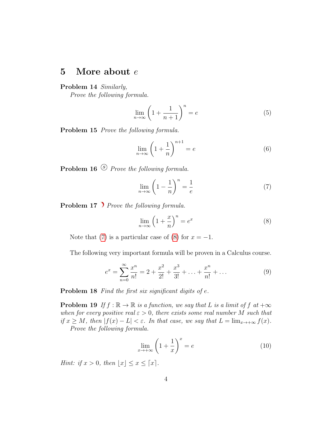#### 5 More about e

Problem 14 Similarly,

Prove the following formula.

$$
\lim_{n \to \infty} \left( 1 + \frac{1}{n+1} \right)^n = e \tag{5}
$$

Problem 15 Prove the following formula.

$$
\lim_{n \to \infty} \left( 1 + \frac{1}{n} \right)^{n+1} = e \tag{6}
$$

<span id="page-3-0"></span>**Problem 16**  $\circled{S}$  Prove the following formula.

$$
\lim_{n \to \infty} \left( 1 - \frac{1}{n} \right)^n = \frac{1}{e} \tag{7}
$$

<span id="page-3-1"></span>Problem 17 Prove the following formula.

$$
\lim_{n \to \infty} \left( 1 + \frac{x}{n} \right)^n = e^x \tag{8}
$$

Note that [\(7\)](#page-3-0) is a particular case of [\(8\)](#page-3-1) for  $x = -1$ .

The following very important formula will be proven in a Calculus course.

$$
e^x = \sum_{n=0}^{\infty} \frac{x^n}{n!} = 2 + \frac{x^2}{2!} + \frac{x^3}{3!} + \dots + \frac{x^n}{n!} + \dots
$$
 (9)

Problem 18 Find the first six significant digits of e.

**Problem 19** If  $f : \mathbb{R} \to \mathbb{R}$  is a function, we say that L is a limit of f at  $+\infty$ when for every positive real  $\varepsilon > 0$ , there exists some real number M such that if  $x \geq M$ , then  $|f(x) - L| < \varepsilon$ . In that case, we say that  $L = \lim_{x \to +\infty} f(x)$ . Prove the following formula.

$$
\lim_{x \to +\infty} \left(1 + \frac{1}{x}\right)^x = e \tag{10}
$$

Hint: if  $x > 0$ , then  $|x| \leq x \leq \lceil x \rceil$ .